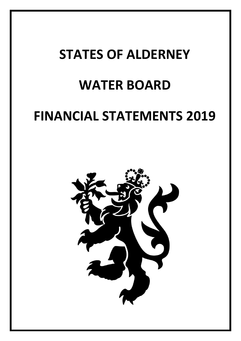# **STATES OF ALDERNEY WATER BOARD FINANCIAL STATEMENTS 2019**

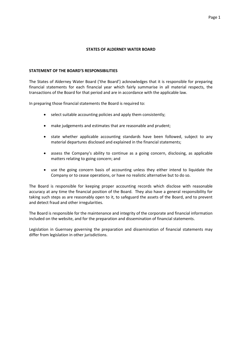## **STATEMENT OF THE BOARD'S RESPONSIBILITIES**

The States of Alderney Water Board ('the Board') acknowledges that it is responsible for preparing financial statements for each financial year which fairly summarise in all material respects, the transactions of the Board for that period and are in accordance with the applicable law.

In preparing those financial statements the Board is required to:

- select suitable accounting policies and apply them consistently;
- make judgements and estimates that are reasonable and prudent;
- state whether applicable accounting standards have been followed, subject to any material departures disclosed and explained in the financial statements;
- assess the Company's ability to continue as a going concern, disclosing, as applicable matters relating to going concern; and
- use the going concern basis of accounting unless they either intend to liquidate the Company or to cease operations, or have no realistic alternative but to do so.

The Board is responsible for keeping proper accounting records which disclose with reasonable accuracy at any time the financial position of the Board. They also have a general responsibility for taking such steps as are reasonably open to it, to safeguard the assets of the Board, and to prevent and detect fraud and other irregularities.

The Board is responsible for the maintenance and integrity of the corporate and financial information included on the website, and for the preparation and dissemination of financial statements.

Legislation in Guernsey governing the preparation and dissemination of financial statements may differ from legislation in other jurisdictions.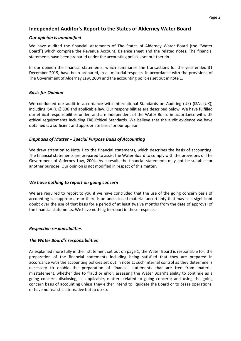## **Independent Auditor's Report to the States of Alderney Water Board**

## *Our opinion is unmodified*

We have audited the financial statements of The States of Alderney Water Board (the "Water Board") which comprise the Revenue Account, Balance sheet and the related notes. The financial statements have been prepared under the accounting policies set out therein.

In our opinion the financial statements, which summarise the transactions for the year ended 31 December 2019, have been prepared, in all material respects, in accordance with the provisions of The Government of Alderney Law, 2004 and the accounting policies set out in note 1.

## *Basis for Opinion*

We conducted our audit in accordance with International Standards on Auditing (UK) (ISAs (UK)) including ISA (UK) 800 and applicable law. Our responsibilities are described below. We have fulfilled our ethical responsibilities under, and are independent of the Water Board in accordance with, UK ethical requirements including FRC Ethical Standards. We believe that the audit evidence we have obtained is a sufficient and appropriate basis for our opinion.

## *Emphasis of Matter – Special Purpose Basis of Accounting*

We draw attention to Note 1 to the financial statements, which describes the basis of accounting. The financial statements are prepared to assist the Water Board to comply with the provisions of The Government of Alderney Law, 2004. As a result, the financial statements may not be suitable for another purpose. Our opinion is not modified in respect of this matter.

## *We have nothing to report on going concern*

We are required to report to you if we have concluded that the use of the going concern basis of accounting is inappropriate or there is an undisclosed material uncertainty that may cast significant doubt over the use of that basis for a period of at least twelve months from the date of approval of the financial statements. We have nothing to report in these respects.

## *Respective responsibilities*

## *The Water Board's responsibilities*

As explained more fully in their statement set out on page 1, the Water Board is responsible for: the preparation of the financial statements including being satisfied that they are prepared in accordance with the accounting policies set out in note 1; such internal control as they determine is necessary to enable the preparation of financial statements that are free from material misstatement, whether due to fraud or error; assessing the Water Board's ability to continue as a going concern, disclosing, as applicable, matters related to going concern; and using the going concern basis of accounting unless they either intend to liquidate the Board or to cease operations, or have no realistic alternative but to do so.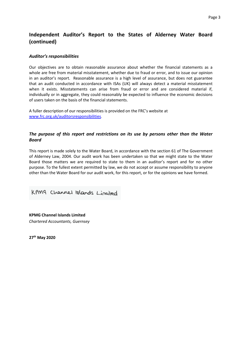# **Independent Auditor's Report to the States of Alderney Water Board (continued)**

## *Auditor's responsibilities*

Our objectives are to obtain reasonable assurance about whether the financial statements as a whole are free from material misstatement, whether due to fraud or error, and to issue our opinion in an auditor's report. Reasonable assurance is a high level of assurance, but does not guarantee that an audit conducted in accordance with ISAs (UK) will always detect a material misstatement when it exists. Misstatements can arise from fraud or error and are considered material if, individually or in aggregate, they could reasonably be expected to influence the economic decisions of users taken on the basis of the financial statements.

A fuller description of our responsibilities is provided on the FRC's website at [www.frc.org.uk/auditorsresponsibilities](http://www.frc.org.uk/auditorsresponsibilities).

## *The purpose of this report and restrictions on its use by persons other than the Water Board*

This report is made solely to the Water Board, in accordance with the section 61 of The Government of Alderney Law, 2004. Our audit work has been undertaken so that we might state to the Water Board those matters we are required to state to them in an auditor's report and for no other purpose. To the fullest extent permitted by law, we do not accept or assume responsibility to anyone other than the Water Board for our audit work, for this report, or for the opinions we have formed.

KPM9 Channel Islands Limited

**KPMG Channel Islands Limited**  *Chartered Accountants, Guernsey* 

**27th May 2020**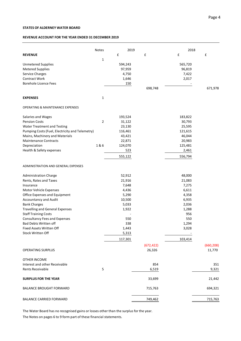#### **REVENUE ACCOUNT FOR THE YEAR ENDED 31 DECEMBER 2019**

|                                                         | <b>Notes</b>   | 2019           |            | 2018            |                    |
|---------------------------------------------------------|----------------|----------------|------------|-----------------|--------------------|
| <b>REVENUE</b>                                          |                | £              | £          | £               | $\pmb{\mathsf{f}}$ |
|                                                         | $\mathbf{1}$   |                |            |                 |                    |
| <b>Unmetered Supplies</b>                               |                | 594,243        |            | 565,720         |                    |
| <b>Metered Supplies</b>                                 |                | 97,959         |            | 96,819          |                    |
| Service Charges                                         |                | 4,750          |            | 7,422           |                    |
| <b>Contract Work</b>                                    |                | 1,646          |            | 2,017           |                    |
| <b>Borehole Licence Fees</b>                            |                | 150            |            |                 |                    |
|                                                         |                |                | 698,748    |                 | 671,978            |
| <b>EXPENSES</b>                                         | 1              |                |            |                 |                    |
| <b>OPERATING &amp; MAINTENANCE EXPENSES</b>             |                |                |            |                 |                    |
| Salaries and Wages                                      |                | 193,524        |            | 183,822         |                    |
| <b>Pension Costs</b>                                    | $\overline{2}$ | 31,122         |            | 30,793          |                    |
| Water Treatment and Testing                             |                | 23,130         |            | 25,595          |                    |
| Pumping Costs (Fuel, Electricity and Telemetry)         |                | 116,461        |            | 121,615         |                    |
| Mains, Machinery and Materials                          |                | 43,421         |            | 46,044          |                    |
| <b>Maintenance Contracts</b>                            |                | 22,871         |            | 20,983          |                    |
| Depreciation                                            | 1&6            | 124,070        |            | 125,481         |                    |
| Health & Safety expenses                                |                | 523            |            | 2,461           |                    |
|                                                         |                | 555,122        |            | 556,794         |                    |
| ADMINISTRATION AND GENERAL EXPENSES                     |                |                |            |                 |                    |
|                                                         |                |                |            |                 |                    |
| <b>Administration Charge</b>                            |                | 52,912         |            | 48,000          |                    |
| Rents, Rates and Taxes                                  |                | 21,916         |            | 21,083<br>7,275 |                    |
| Insurance                                               |                | 7,648          |            | 6,611           |                    |
| Motor Vehicle Expenses<br>Office Expenses and Equipment |                | 4,436<br>5,290 |            | 4,358           |                    |
| Accountancy and Audit                                   |                | 10,500         |            | 6,935           |                    |
| <b>Bank Charges</b>                                     |                | 5,033          |            | 2,036           |                    |
| <b>Travelling and General Expenses</b>                  |                | 1,922          |            | 1,288           |                    |
| <b>Staff Training Costs</b>                             |                |                |            | 956             |                    |
| <b>Consultancy Fees and Expenses</b>                    |                | 550            |            | 550             |                    |
| <b>Bad Debts Written off</b>                            |                | 338            |            | 1,294           |                    |
| Fixed Assets Written Off                                |                | 1,443          |            | 3,028           |                    |
| <b>Stock Written Off</b>                                |                | 5,313          |            |                 |                    |
|                                                         |                | 117,301        |            | 103,414         |                    |
|                                                         |                |                | (672, 422) |                 | (660, 208)         |
| <b>OPERATING SURPLUS</b>                                |                |                | 26,326     |                 | 11,770             |
| <b>OTHER INCOME</b>                                     |                |                |            |                 |                    |
| Interest and other Receivable                           |                |                | 854        |                 | 351                |
| Rents Receivable                                        | 5              |                | 6,519      |                 | 9,321              |
| <b>SURPLUS FOR THE YEAR</b>                             |                |                | 33,699     |                 | 21,442             |
| <b>BALANCE BROUGHT FORWARD</b>                          |                |                | 715,763    |                 | 694,321            |
| <b>BALANCE CARRIED FORWARD</b>                          |                |                | 749,462    |                 | 715,763            |

The Water Board has no recognised gains or losses other than the surplus for the year. The Notes on pages 6 to 9 form part of these financial statements.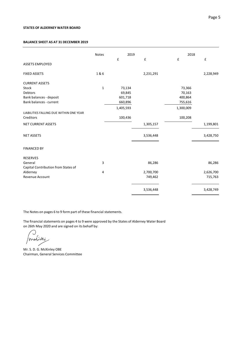#### **BALANCE SHEET AS AT 31 DECEMBER 2019**

|                                         | <b>Notes</b> | 2019      |             | 2018      |           |
|-----------------------------------------|--------------|-----------|-------------|-----------|-----------|
| <b>ASSETS EMPLOYED</b>                  |              | £         | $\mathbf f$ | £         | £         |
| <b>FIXED ASSETS</b>                     | 1&6          |           | 2,231,291   |           | 2,228,949 |
| <b>CURRENT ASSETS</b>                   |              |           |             |           |           |
| Stock                                   | $\mathbf{1}$ | 73,134    |             | 73,366    |           |
| <b>Debtors</b>                          |              | 69,845    |             | 70,163    |           |
| Bank balances - deposit                 |              | 601,718   |             | 400,864   |           |
| Bank balances - current                 |              | 660,896   |             | 755,616   |           |
|                                         |              | 1,405,593 |             | 1,300,009 |           |
| LIABILITIES FALLING DUE WITHIN ONE YEAR |              |           |             |           |           |
| Creditors                               |              | 100,436   |             | 100,208   |           |
| <b>NET CURRENT ASSETS</b>               |              |           | 1,305,157   |           | 1,199,801 |
| <b>NET ASSETS</b>                       |              |           | 3,536,448   |           | 3,428,750 |
| <b>FINANCED BY</b>                      |              |           |             |           |           |
| <b>RESERVES</b>                         |              |           |             |           |           |
| General                                 | 3            |           | 86,286      |           | 86,286    |
| Capital Contribution from States of     |              |           |             |           |           |
| Alderney                                | 4            |           | 2,700,700   |           | 2,626,700 |
| <b>Revenue Account</b>                  |              |           | 749,462     |           | 715,763   |
|                                         |              |           | 3,536,448   |           | 3,428,749 |

The Notes on pages 6 to 9 form part of these financial statements.

The financial statements on pages 4 to 9 were approved by the States of Alderney Water Board on 26th May 2020 and are signed on its behalf by:

C) mulines

Mr. S. D. G. McKinley OBE Chairman, General Services Committee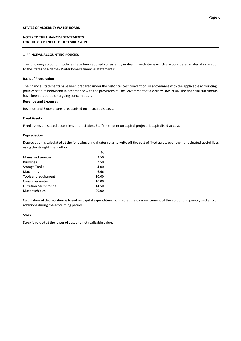#### **NOTES TO THE FINANCIAL STATEMENTS FOR THE YEAR ENDED 31 DECEMBER 2019**

#### **1 PRINCIPAL ACCOUNTING POLICIES**

The following accounting policies have been applied consistently in dealing with items which are considered material in relation to the States of Alderney Water Board's financial statements:

#### **Basis of Preparation**

The financial statements have been prepared under the historical cost convention, in accordance with the applicable accounting policies set out below and in accordance with the provisions of The Government of Alderney Law, 2004. The financial statements have been prepared on a going concern basis.

#### **Revenue and Expenses**

Revenue and Expenditure is recognised on an accruals basis.

#### **Fixed Assets**

Fixed assets are stated at cost less depreciation. Staff time spent on capital projects is capitalised at cost.

 $\alpha$ 

#### **Depreciation**

Depreciation is calculated at the following annual rates so as to write off the cost of fixed assets over their anticipated useful lives using the straight line method:

|                             | , ,   |
|-----------------------------|-------|
| Mains and services          | 2.50  |
| <b>Buildings</b>            | 2.50  |
| <b>Storage Tanks</b>        | 4.00  |
| Machinery                   | 6.66  |
| Tools and equipment         | 10.00 |
| Consumer meters             | 10.00 |
| <b>Filtration Membranes</b> | 14.50 |
| Motor vehicles              | 20.00 |
|                             |       |

Calculation of depreciation is based on capital expenditure incurred at the commencement of the accounting period, and also on additions during the accounting period.

#### **Stock**

Stock is valued at the lower of cost and net realisable value.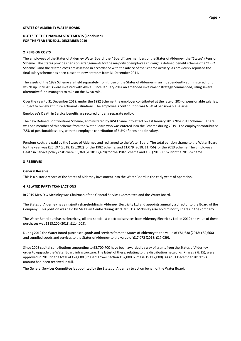#### **NOTES TO THE FINANCIAL STATEMENTS (Continued) FOR THE YEAR ENDED 31 DECEMBER 2019**

#### **2 PENSION COSTS**

The employees of the States of Alderney Water Board (the " Board") are members of the States of Alderney (the "States") Pension Scheme. The States provides pension arrangements for the majority of employees through a defined benefit scheme (the "1982 Scheme") and the related costs are assessed in accordance with the advice of the Scheme Actuary. As previously reported the final salary scheme has been closed to new entrants from 31 December 2011.

The assets of the 1982 Scheme are held separately from those of the States of Alderney in an independently administered fund which up until 2013 were invested with Aviva. Since January 2014 an amended investment strategy commenced, using several alternative fund managers to take on the Aviva role.

Over the year to 31 December 2019, under the 1982 Scheme, the employer contributed at the rate of 20% of pensionable salaries, subject to review at future actuarial valuations. The employee's contribution was 6.5% of pensionable salaries.

Employee's Death in Service benefits are secured under a separate policy.

The new Defined Contributions Scheme, administered by BWCI came into effect on 1st January 2013 "the 2013 Scheme". There was one member of this Scheme from the Water Board who was entered into the Scheme during 2019. The employer contributed 7.5% of pensionable salary, with the employee contribution of 6.5% of pensionable salary.

Pensions costs are paid by the States of Alderney and recharged to the Water Board. The total pension charge to the Water Board for the year was £26,597 (2018: £26,202) for the 1982 Scheme, and £1,079 (2018: £1,756) for the 2013 Scheme. The Employees Death in Service policy costs were £3,360 (2018: £2,678) for the 1982 Scheme and £86 (2018: £157) for the 2013 Scheme.

#### **3 RESERVES**

#### **General Reserve**

This is a historic record of the States of Alderney investment into the Water Board in the early years of operation.

#### **4 RELATED PARTY TRANSACTIONS**

In 2019 Mr S D G McKinley was Chairman of the General Services Committee and the Water Board.

Company. This position was held by Mr Kevin Gentle during 2019. Mr S D G McKinley also hold minority shares in the company. The States of Alderney has a majority shareholding in Alderney Electricity Ltd and appoints annually a director to the Board of the

The Water Board purchases electricity, oil and specialist electrical services from Alderney Electricity Ltd. In 2019 the value of these purchases was £113,200 (2018: £114,005).

During 2019 the Water Board purchased goods and services from the States of Alderney to the value of £81,638 (2018: £82,666) and supplied goods and services to the States of Alderney to the value of £17,072 (2018: £17,029).

Since 2008 capital contributions amounting to £2,700,700 have been awarded by way of grants from the States of Alderney in order to upgrade the Water Board infrastructure. The latest of these, relating to the distribution networks (Phases 9 & 15), were approved in 2019 to the total of £74,000 (Phase 9 Lower Section £62,000 & Phase 15 £12,000). As at 31 December 2019 this amount had been received in full.

The General Services Committee is appointed by the States of Alderney to act on behalf of the Water Board.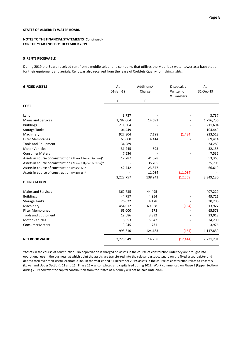#### **NOTES TO THE FINANCIAL STATEMENTS (Continued) FOR THE YEAR ENDED 31 DECEMBER 2019**

#### **5 RENTS RECEIVABLE**

During 2019 the Board received rent from a mobile telephone company, that utilises the Mouriaux water tower as a base station for their equipment and aerials. Rent was also received from the lease of Corblets Quarry for fishing rights.

| <b>6 FIXED ASSETS</b>                                     | At<br>01-Jan-19 | Additions/<br>Charge | Disposals/<br>Written off<br>& Transfers | At<br>31-Dec-19 |
|-----------------------------------------------------------|-----------------|----------------------|------------------------------------------|-----------------|
|                                                           | £               | £                    | £                                        | £               |
| <b>COST</b>                                               |                 |                      |                                          |                 |
| Land                                                      | 3,737           |                      |                                          | 3,737           |
| <b>Mains and Services</b>                                 | 1,782,064       | 14,692               |                                          | 1,796,756       |
| <b>Buildings</b>                                          | 211,604         |                      |                                          | 211,604         |
| <b>Storage Tanks</b>                                      | 104,449         |                      |                                          | 104,449         |
| Machinery                                                 | 927,804         | 7,198                | (1,484)                                  | 933,518         |
| <b>Filter Membranes</b>                                   | 65,000          | 4,414                |                                          | 69,414          |
| <b>Tools and Equipment</b>                                | 34,289          |                      |                                          | 34,289          |
| <b>Motor Vehicles</b>                                     | 31,245          | 893                  |                                          | 32,138          |
| <b>Consumer Meters</b>                                    | 7,536           |                      |                                          | 7,536           |
| Assets in course of construction (Phase 9 Lower Section)* | 12,287          | 41,078               |                                          | 53,365          |
| Assets in course of construction (Phase 9 Upper Section)* |                 | 35,705               |                                          | 35,705          |
| Assets in course of construction (Phase 12)*              | 42,742          | 23,877               |                                          | 66,619          |
| Assets in course of construction (Phase 15)*              |                 | 11,084               | (11,084)                                 |                 |
|                                                           | 3,222,757       | 138,941              | (12, 568)                                | 3,349,130       |
| <b>DEPRECIATION</b>                                       |                 |                      |                                          |                 |
| <b>Mains and Services</b>                                 | 362,735         | 44,495               |                                          | 407,229         |
| <b>Buildings</b>                                          | 44,757          | 4,954                |                                          | 49,711          |
| <b>Storage Tanks</b>                                      | 26,022          | 4,178                |                                          | 30,200          |
| Machinery                                                 | 454,012         | 60,068               | (154)                                    | 513,927         |
| <b>Filter Membranes</b>                                   | 65,000          | 578                  |                                          | 65,578          |
| <b>Tools and Equipment</b>                                | 19,686          | 3,332                |                                          | 23,018          |
| <b>Motor Vehicles</b>                                     | 18,353          | 5,847                |                                          | 24,200          |
| <b>Consumer Meters</b>                                    | 3,245           | 731                  |                                          | 3,976           |
|                                                           | 993,810         | 124,183              | (154)                                    | 1,117,839       |
| <b>NET BOOK VALUE</b>                                     | 2,228,949       | 14,758               | (12, 414)                                | 2,231,291       |

\*Assets in the course of construction. No depreciation is charged on assets in the course of construction until they are brought into operational use in the business, at which point the assets are transferred into the relevant asset category on the fixed asset register and depreciated over their useful economic life. In the year ended 31 December 2019, assets in the course of construction relate to Phases 9 (Lower and Upper Section), 12 and 15. Phase 15 was completed and capitalised during 2019. Work commenced on Phase 9 (Upper Section) during 2019 however the capital contribution from the States of Alderney will not be paid until 2020.